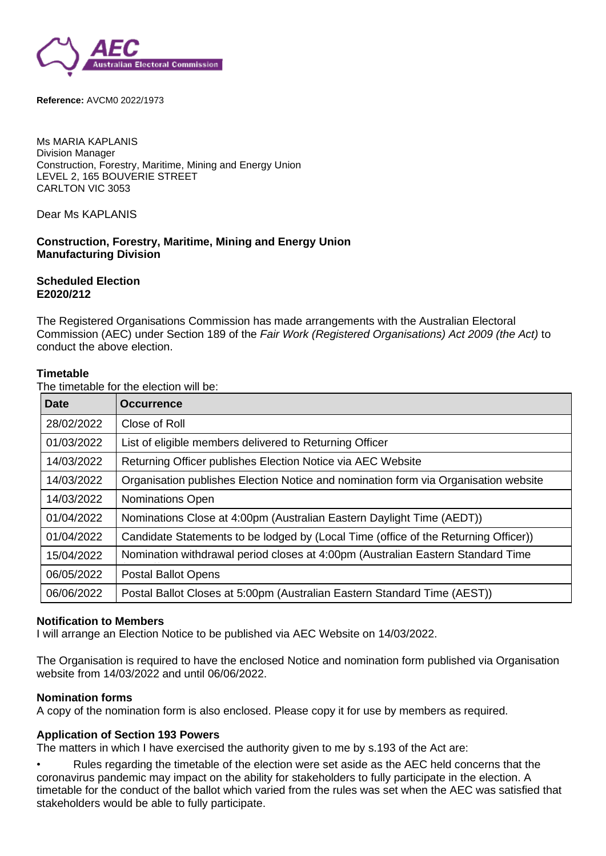

**Reference:** AVCM0 2022/1973

Ms MARIA KAPLANIS Division Manager Construction, Forestry, Maritime, Mining and Energy Union LEVEL 2, 165 BOUVERIE STREET CARLTON VIC 3053

Dear Ms KAPLANIS

## **Construction, Forestry, Maritime, Mining and Energy Union Manufacturing Division**

## **Scheduled Election E2020/212**

The Registered Organisations Commission has made arrangements with the Australian Electoral Commission (AEC) under Section 189 of the *Fair Work (Registered Organisations) Act 2009 (the Act)* to conduct the above election.

### **Timetable**

The timetable for the election will be:

| <b>Date</b> | <b>Occurrence</b>                                                                   |
|-------------|-------------------------------------------------------------------------------------|
| 28/02/2022  | Close of Roll                                                                       |
| 01/03/2022  | List of eligible members delivered to Returning Officer                             |
| 14/03/2022  | Returning Officer publishes Election Notice via AEC Website                         |
| 14/03/2022  | Organisation publishes Election Notice and nomination form via Organisation website |
| 14/03/2022  | <b>Nominations Open</b>                                                             |
| 01/04/2022  | Nominations Close at 4:00pm (Australian Eastern Daylight Time (AEDT))               |
| 01/04/2022  | Candidate Statements to be lodged by (Local Time (office of the Returning Officer)) |
| 15/04/2022  | Nomination withdrawal period closes at 4:00pm (Australian Eastern Standard Time     |
| 06/05/2022  | <b>Postal Ballot Opens</b>                                                          |
| 06/06/2022  | Postal Ballot Closes at 5:00pm (Australian Eastern Standard Time (AEST))            |

### **Notification to Members**

I will arrange an Election Notice to be published via AEC Website on 14/03/2022.

The Organisation is required to have the enclosed Notice and nomination form published via Organisation website from 14/03/2022 and until 06/06/2022.

### **Nomination forms**

A copy of the nomination form is also enclosed. Please copy it for use by members as required.

# **Application of Section 193 Powers**

The matters in which I have exercised the authority given to me by s.193 of the Act are:

• Rules regarding the timetable of the election were set aside as the AEC held concerns that the coronavirus pandemic may impact on the ability for stakeholders to fully participate in the election. A timetable for the conduct of the ballot which varied from the rules was set when the AEC was satisfied that stakeholders would be able to fully participate.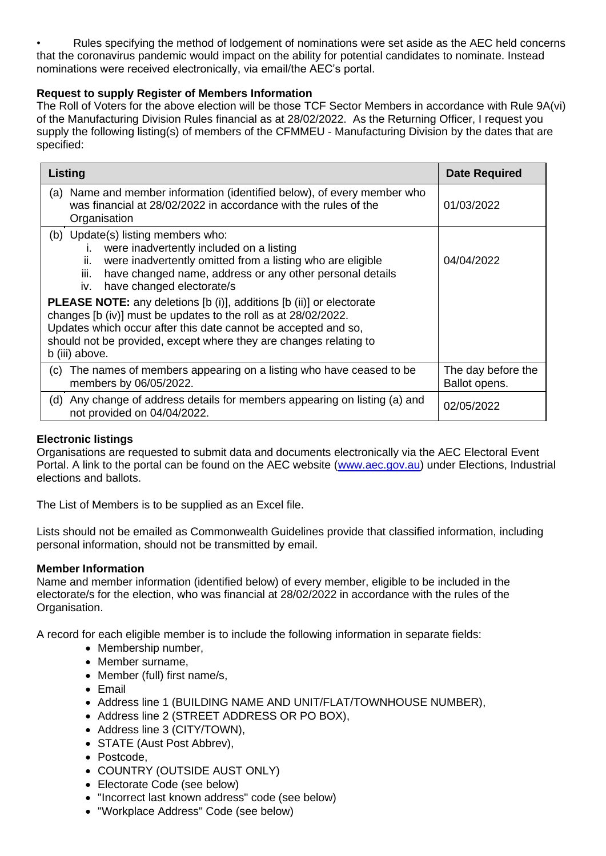• Rules specifying the method of lodgement of nominations were set aside as the AEC held concerns that the coronavirus pandemic would impact on the ability for potential candidates to nominate. Instead nominations were received electronically, via email/the AEC's portal.

# **Request to supply Register of Members Information**

The Roll of Voters for the above election will be those TCF Sector Members in accordance with Rule 9A(vi) of the Manufacturing Division Rules financial as at 28/02/2022. As the Returning Officer, I request you supply the following listing(s) of members of the CFMMEU - Manufacturing Division by the dates that are specified:

| Listing                                                                                                                                                                                                                                                                                                                                                                                                                                                                                                                                                               | <b>Date Required</b>                |
|-----------------------------------------------------------------------------------------------------------------------------------------------------------------------------------------------------------------------------------------------------------------------------------------------------------------------------------------------------------------------------------------------------------------------------------------------------------------------------------------------------------------------------------------------------------------------|-------------------------------------|
| Name and member information (identified below), of every member who<br>(a)<br>was financial at 28/02/2022 in accordance with the rules of the<br>Organisation                                                                                                                                                                                                                                                                                                                                                                                                         | 01/03/2022                          |
| (b) Update(s) listing members who:<br>i. were inadvertently included on a listing<br>were inadvertently omitted from a listing who are eligible<br>ii.<br>have changed name, address or any other personal details<br>iii.<br>iv. have changed electorate/s<br><b>PLEASE NOTE:</b> any deletions [b (i)], additions [b (ii)] or electorate<br>changes [b (iv)] must be updates to the roll as at 28/02/2022.<br>Updates which occur after this date cannot be accepted and so,<br>should not be provided, except where they are changes relating to<br>b (iii) above. | 04/04/2022                          |
| The names of members appearing on a listing who have ceased to be<br>(C).<br>members by 06/05/2022.                                                                                                                                                                                                                                                                                                                                                                                                                                                                   | The day before the<br>Ballot opens. |
| Any change of address details for members appearing on listing (a) and<br>(d)<br>not provided on 04/04/2022.                                                                                                                                                                                                                                                                                                                                                                                                                                                          | 02/05/2022                          |

# **Electronic listings**

Organisations are requested to submit data and documents electronically via the AEC Electoral Event Portal. A link to the portal can be found on the AEC website [\(www.aec.gov.au\)](https://www.aec.gov.au/) under Elections, Industrial elections and ballots.

The List of Members is to be supplied as an Excel file.

Lists should not be emailed as Commonwealth Guidelines provide that classified information, including personal information, should not be transmitted by email.

# **Member Information**

Name and member information (identified below) of every member, eligible to be included in the electorate/s for the election, who was financial at 28/02/2022 in accordance with the rules of the Organisation.

A record for each eligible member is to include the following information in separate fields:

- Membership number,
- Member surname,
- Member (full) first name/s,
- Email
- Address line 1 (BUILDING NAME AND UNIT/FLAT/TOWNHOUSE NUMBER),
- Address line 2 (STREET ADDRESS OR PO BOX),
- Address line 3 (CITY/TOWN).
- STATE (Aust Post Abbrev).
- Postcode,
- COUNTRY (OUTSIDE AUST ONLY)
- Electorate Code (see below)
- "Incorrect last known address" code (see below)
- "Workplace Address" Code (see below)